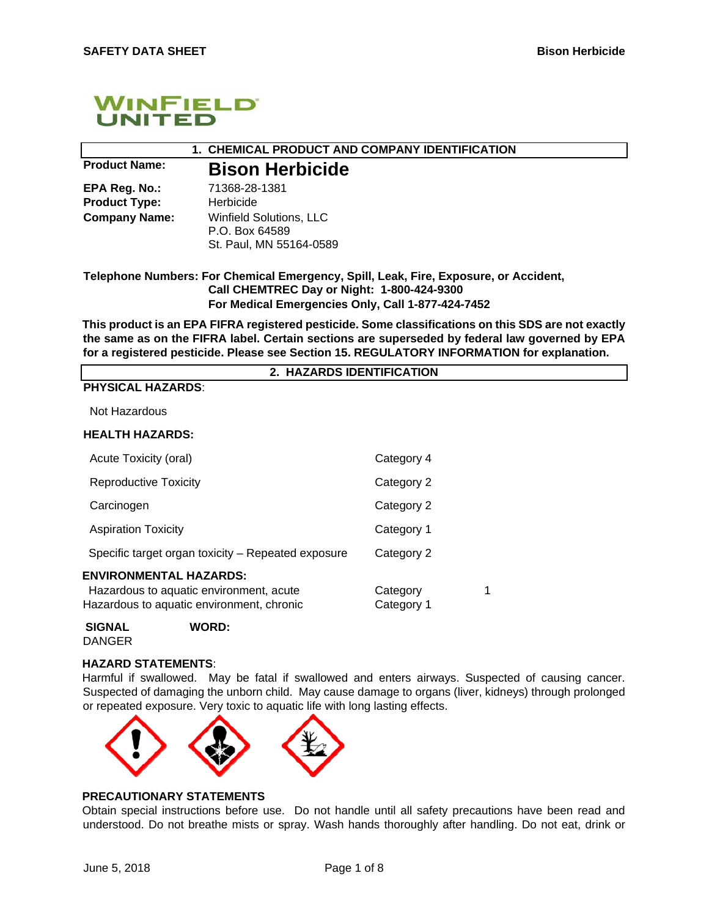

# **1. CHEMICAL PRODUCT AND COMPANY IDENTIFICATION**

**EPA Reg. No.:** 71368-28-1381 **Product Type:** Herbicide

# **Product Name: Bison Herbicide**

**Company Name:** Winfield Solutions, LLC P.O. Box 64589 St. Paul, MN 55164-0589

## **Telephone Numbers: For Chemical Emergency, Spill, Leak, Fire, Exposure, or Accident, Call CHEMTREC Day or Night: 1-800-424-9300 For Medical Emergencies Only, Call 1-877-424-7452**

**This product is an EPA FIFRA registered pesticide. Some classifications on this SDS are not exactly the same as on the FIFRA label. Certain sections are superseded by federal law governed by EPA for a registered pesticide. Please see Section 15. REGULATORY INFORMATION for explanation.** 

**2. HAZARDS IDENTIFICATION** 

## **PHYSICAL HAZARDS**:

Not Hazardous

#### **HEALTH HAZARDS:**

| Acute Toxicity (oral)                                                                                                 | Category 4             |   |
|-----------------------------------------------------------------------------------------------------------------------|------------------------|---|
| <b>Reproductive Toxicity</b>                                                                                          | Category 2             |   |
| Carcinogen                                                                                                            | Category 2             |   |
| <b>Aspiration Toxicity</b>                                                                                            | Category 1             |   |
| Specific target organ toxicity – Repeated exposure                                                                    | Category 2             |   |
| <b>ENVIRONMENTAL HAZARDS:</b><br>Hazardous to aquatic environment, acute<br>Hazardous to aquatic environment, chronic | Category<br>Category 1 | 1 |
|                                                                                                                       |                        |   |



#### **HAZARD STATEMENTS**:

Harmful if swallowed. May be fatal if swallowed and enters airways. Suspected of causing cancer. Suspected of damaging the unborn child. May cause damage to organs (liver, kidneys) through prolonged or repeated exposure. Very toxic to aquatic life with long lasting effects.



## **PRECAUTIONARY STATEMENTS**

Obtain special instructions before use. Do not handle until all safety precautions have been read and understood. Do not breathe mists or spray. Wash hands thoroughly after handling. Do not eat, drink or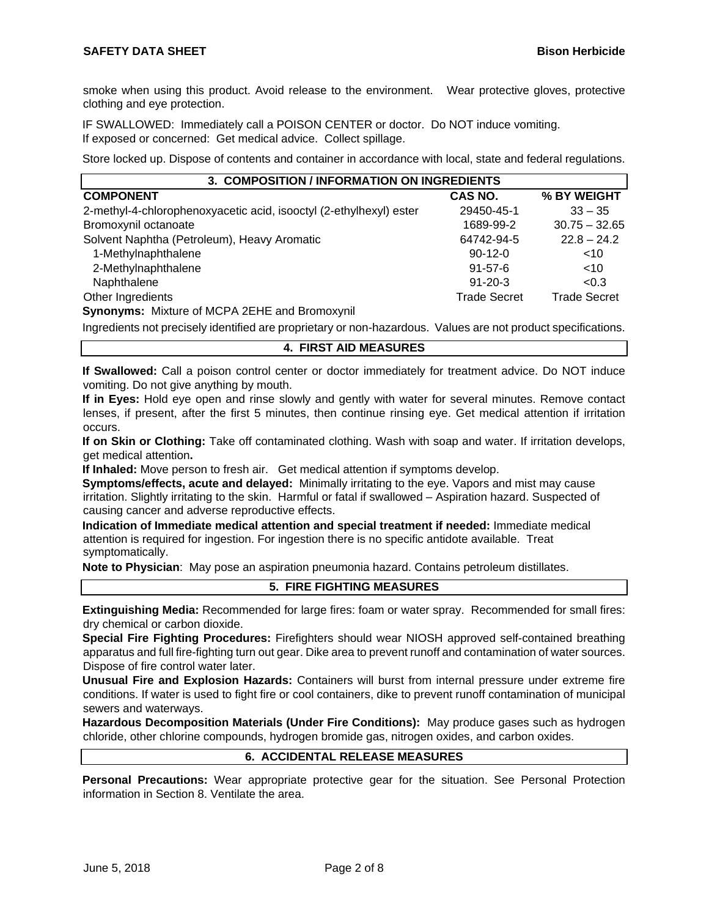smoke when using this product. Avoid release to the environment. Wear protective gloves, protective clothing and eye protection.

IF SWALLOWED: Immediately call a POISON CENTER or doctor. Do NOT induce vomiting. If exposed or concerned: Get medical advice. Collect spillage.

Store locked up. Dispose of contents and container in accordance with local, state and federal regulations.

| 3. COMPOSITION / INFORMATION ON INGREDIENTS                        |                     |                     |  |  |
|--------------------------------------------------------------------|---------------------|---------------------|--|--|
| <b>COMPONENT</b>                                                   | CAS NO.             | % BY WEIGHT         |  |  |
| 2-methyl-4-chlorophenoxyacetic acid, isooctyl (2-ethylhexyl) ester | 29450-45-1          | $33 - 35$           |  |  |
| Bromoxynil octanoate                                               | 1689-99-2           | $30.75 - 32.65$     |  |  |
| Solvent Naphtha (Petroleum), Heavy Aromatic                        | 64742-94-5          | $22.8 - 24.2$       |  |  |
| 1-Methylnaphthalene                                                | $90-12-0$           | ~10                 |  |  |
| 2-Methylnaphthalene                                                | $91 - 57 - 6$       | <10                 |  |  |
| Naphthalene                                                        | $91 - 20 - 3$       | < 0.3               |  |  |
| Other Ingredients                                                  | <b>Trade Secret</b> | <b>Trade Secret</b> |  |  |

**Synonyms:** Mixture of MCPA 2EHE and Bromoxynil

Ingredients not precisely identified are proprietary or non-hazardous. Values are not product specifications.

## **4. FIRST AID MEASURES**

**If Swallowed:** Call a poison control center or doctor immediately for treatment advice. Do NOT induce vomiting. Do not give anything by mouth.

**If in Eyes:** Hold eye open and rinse slowly and gently with water for several minutes. Remove contact lenses, if present, after the first 5 minutes, then continue rinsing eye. Get medical attention if irritation occurs.

**If on Skin or Clothing:** Take off contaminated clothing. Wash with soap and water. If irritation develops, get medical attention**.** 

**If Inhaled:** Move person to fresh air. Get medical attention if symptoms develop.

**Symptoms/effects, acute and delayed:** Minimally irritating to the eye. Vapors and mist may cause irritation. Slightly irritating to the skin. Harmful or fatal if swallowed – Aspiration hazard. Suspected of causing cancer and adverse reproductive effects.

**Indication of Immediate medical attention and special treatment if needed:** Immediate medical attention is required for ingestion. For ingestion there is no specific antidote available. Treat symptomatically.

**Note to Physician**: May pose an aspiration pneumonia hazard. Contains petroleum distillates.

## **5. FIRE FIGHTING MEASURES**

**Extinguishing Media:** Recommended for large fires: foam or water spray. Recommended for small fires: dry chemical or carbon dioxide.

**Special Fire Fighting Procedures:** Firefighters should wear NIOSH approved self-contained breathing apparatus and full fire-fighting turn out gear. Dike area to prevent runoff and contamination of water sources. Dispose of fire control water later.

**Unusual Fire and Explosion Hazards:** Containers will burst from internal pressure under extreme fire conditions. If water is used to fight fire or cool containers, dike to prevent runoff contamination of municipal sewers and waterways.

**Hazardous Decomposition Materials (Under Fire Conditions):** May produce gases such as hydrogen chloride, other chlorine compounds, hydrogen bromide gas, nitrogen oxides, and carbon oxides.

## **6. ACCIDENTAL RELEASE MEASURES**

**Personal Precautions:** Wear appropriate protective gear for the situation. See Personal Protection information in Section 8. Ventilate the area.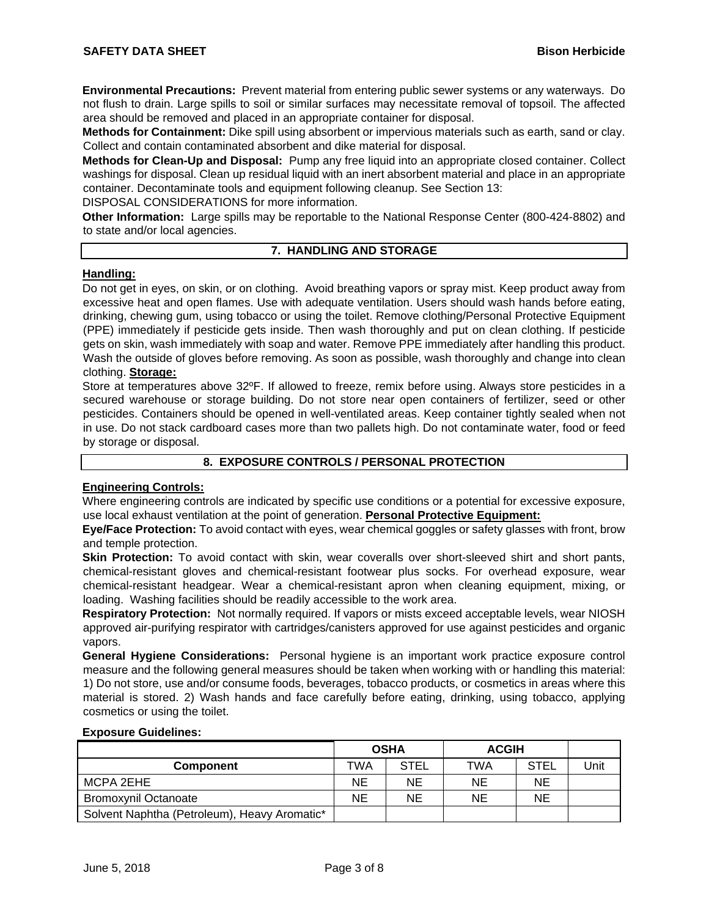**Environmental Precautions:** Prevent material from entering public sewer systems or any waterways. Do not flush to drain. Large spills to soil or similar surfaces may necessitate removal of topsoil. The affected area should be removed and placed in an appropriate container for disposal.

**Methods for Containment:** Dike spill using absorbent or impervious materials such as earth, sand or clay. Collect and contain contaminated absorbent and dike material for disposal.

**Methods for Clean-Up and Disposal:** Pump any free liquid into an appropriate closed container. Collect washings for disposal. Clean up residual liquid with an inert absorbent material and place in an appropriate container. Decontaminate tools and equipment following cleanup. See Section 13:

DISPOSAL CONSIDERATIONS for more information.

**Other Information:** Large spills may be reportable to the National Response Center (800-424-8802) and to state and/or local agencies.

## **7. HANDLING AND STORAGE**

### **Handling:**

Do not get in eyes, on skin, or on clothing. Avoid breathing vapors or spray mist. Keep product away from excessive heat and open flames. Use with adequate ventilation. Users should wash hands before eating, drinking, chewing gum, using tobacco or using the toilet. Remove clothing/Personal Protective Equipment (PPE) immediately if pesticide gets inside. Then wash thoroughly and put on clean clothing. If pesticide gets on skin, wash immediately with soap and water. Remove PPE immediately after handling this product. Wash the outside of gloves before removing. As soon as possible, wash thoroughly and change into clean clothing. **Storage:**

Store at temperatures above 32ºF. If allowed to freeze, remix before using. Always store pesticides in a secured warehouse or storage building. Do not store near open containers of fertilizer, seed or other pesticides. Containers should be opened in well-ventilated areas. Keep container tightly sealed when not in use. Do not stack cardboard cases more than two pallets high. Do not contaminate water, food or feed by storage or disposal.

## **8. EXPOSURE CONTROLS / PERSONAL PROTECTION**

#### **Engineering Controls:**

Where engineering controls are indicated by specific use conditions or a potential for excessive exposure, use local exhaust ventilation at the point of generation. **Personal Protective Equipment:**

**Eye/Face Protection:** To avoid contact with eyes, wear chemical goggles or safety glasses with front, brow and temple protection.

**Skin Protection:** To avoid contact with skin, wear coveralls over short-sleeved shirt and short pants, chemical-resistant gloves and chemical-resistant footwear plus socks. For overhead exposure, wear chemical-resistant headgear. Wear a chemical-resistant apron when cleaning equipment, mixing, or loading. Washing facilities should be readily accessible to the work area.

**Respiratory Protection:** Not normally required. If vapors or mists exceed acceptable levels, wear NIOSH approved air-purifying respirator with cartridges/canisters approved for use against pesticides and organic vapors.

**General Hygiene Considerations:** Personal hygiene is an important work practice exposure control measure and the following general measures should be taken when working with or handling this material: 1) Do not store, use and/or consume foods, beverages, tobacco products, or cosmetics in areas where this material is stored. 2) Wash hands and face carefully before eating, drinking, using tobacco, applying cosmetics or using the toilet.

#### **Exposure Guidelines:**

|                                              | <b>OSHA</b> |      | <b>ACGIH</b> |      |      |
|----------------------------------------------|-------------|------|--------------|------|------|
| <b>Component</b>                             | TWA         | STEL | TWA          | STEL | Unit |
| MCPA 2EHE                                    | ΝE          | NΕ   | NE.          | NE   |      |
| <b>Bromoxynil Octanoate</b>                  | NE          | ΝE   | NE.          | NE   |      |
| Solvent Naphtha (Petroleum), Heavy Aromatic* |             |      |              |      |      |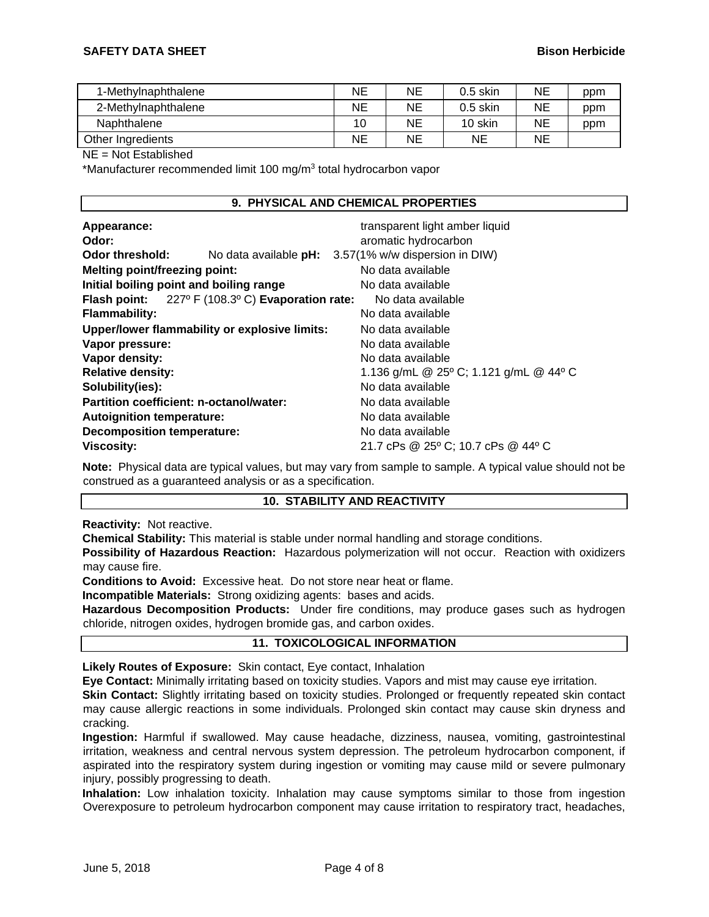| 1-Methylnaphthalene | ΝE | ΝE | $0.5$ skin | NΕ | ppm |
|---------------------|----|----|------------|----|-----|
| 2-Methylnaphthalene | NE | NE | $0.5$ skin | NΕ | ppm |
| Naphthalene         | 10 | NE | 10 skin    | ΝE | ppm |
| Other Ingredients   | ΝE | NE | <b>NE</b>  | NE |     |

#### NE = Not Established

\*Manufacturer recommended limit 100 mg/m3 total hydrocarbon vapor

#### **9. PHYSICAL AND CHEMICAL PROPERTIES**

| Appearance:<br>Odor:                    |                                                                 | transparent light amber liquid<br>aromatic hydrocarbon |
|-----------------------------------------|-----------------------------------------------------------------|--------------------------------------------------------|
| Odor threshold:                         |                                                                 | No data available pH: 3.57(1% w/w dispersion in DIW)   |
| <b>Melting point/freezing point:</b>    |                                                                 | No data available                                      |
| Initial boiling point and boiling range |                                                                 | No data available                                      |
|                                         | <b>Flash point:</b> $227^{\circ}$ F (108.3°C) Evaporation rate: | No data available                                      |
| <b>Flammability:</b>                    |                                                                 | No data available                                      |
|                                         | Upper/lower flammability or explosive limits:                   | No data available                                      |
| Vapor pressure:                         |                                                                 | No data available                                      |
| Vapor density:                          |                                                                 | No data available                                      |
| <b>Relative density:</b>                |                                                                 | 1.136 g/mL @ 25° C; 1.121 g/mL @ 44° C                 |
| Solubility(ies):                        |                                                                 | No data available                                      |
| Partition coefficient: n-octanol/water: |                                                                 | No data available                                      |
| <b>Autoignition temperature:</b>        |                                                                 | No data available                                      |
| <b>Decomposition temperature:</b>       |                                                                 | No data available                                      |
| <b>Viscosity:</b>                       |                                                                 | 21.7 cPs @ 25° C; 10.7 cPs @ 44° C                     |

**Note:** Physical data are typical values, but may vary from sample to sample. A typical value should not be construed as a guaranteed analysis or as a specification.

#### **10. STABILITY AND REACTIVITY**

**Reactivity:** Not reactive.

**Chemical Stability:** This material is stable under normal handling and storage conditions.

**Possibility of Hazardous Reaction:** Hazardous polymerization will not occur. Reaction with oxidizers may cause fire.

**Conditions to Avoid:** Excessive heat. Do not store near heat or flame.

**Incompatible Materials:** Strong oxidizing agents: bases and acids.

**Hazardous Decomposition Products:** Under fire conditions, may produce gases such as hydrogen chloride, nitrogen oxides, hydrogen bromide gas, and carbon oxides.

## **11. TOXICOLOGICAL INFORMATION**

**Likely Routes of Exposure:** Skin contact, Eye contact, Inhalation

**Eye Contact:** Minimally irritating based on toxicity studies. Vapors and mist may cause eye irritation.

**Skin Contact:** Slightly irritating based on toxicity studies. Prolonged or frequently repeated skin contact may cause allergic reactions in some individuals. Prolonged skin contact may cause skin dryness and cracking.

**Ingestion:** Harmful if swallowed. May cause headache, dizziness, nausea, vomiting, gastrointestinal irritation, weakness and central nervous system depression. The petroleum hydrocarbon component, if aspirated into the respiratory system during ingestion or vomiting may cause mild or severe pulmonary injury, possibly progressing to death.

**Inhalation:** Low inhalation toxicity. Inhalation may cause symptoms similar to those from ingestion Overexposure to petroleum hydrocarbon component may cause irritation to respiratory tract, headaches,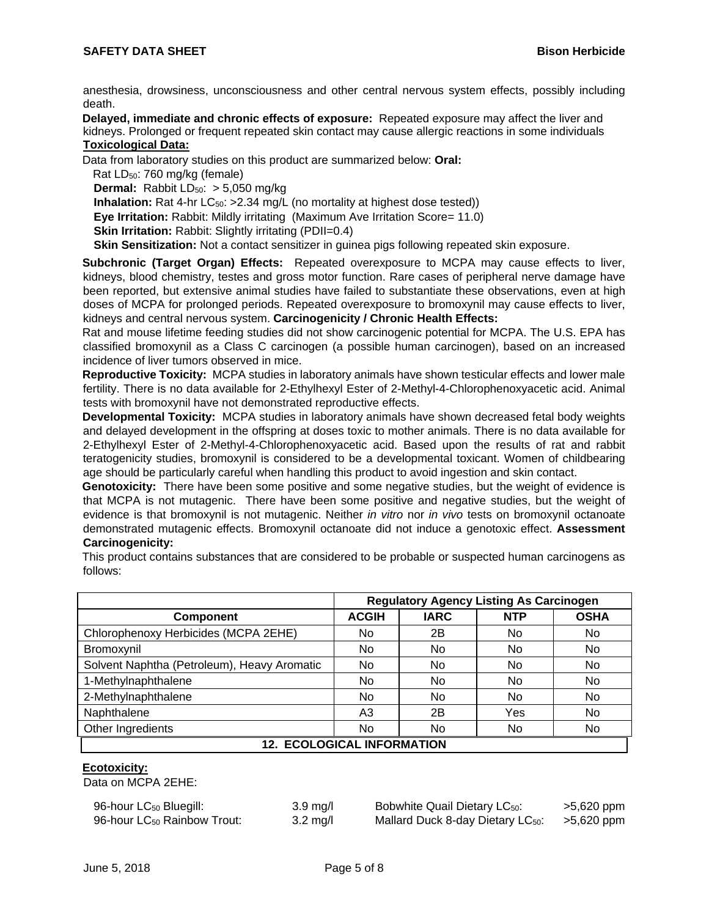anesthesia, drowsiness, unconsciousness and other central nervous system effects, possibly including death.

**Delayed, immediate and chronic effects of exposure:** Repeated exposure may affect the liver and kidneys. Prolonged or frequent repeated skin contact may cause allergic reactions in some individuals **Toxicological Data:**

Data from laboratory studies on this product are summarized below: **Oral:**

Rat LD50: 760 mg/kg (female) **Dermal:** Rabbit LD<sub>50</sub>: > 5,050 mg/kg

**Inhalation:** Rat 4-hr LC<sub>50</sub>: >2.34 mg/L (no mortality at highest dose tested))

**Eye Irritation:** Rabbit: Mildly irritating (Maximum Ave Irritation Score= 11.0)

**Skin Irritation:** Rabbit: Slightly irritating (PDII=0.4)

**Skin Sensitization:** Not a contact sensitizer in guinea pigs following repeated skin exposure.

**Subchronic (Target Organ) Effects:** Repeated overexposure to MCPA may cause effects to liver, kidneys, blood chemistry, testes and gross motor function. Rare cases of peripheral nerve damage have been reported, but extensive animal studies have failed to substantiate these observations, even at high doses of MCPA for prolonged periods. Repeated overexposure to bromoxynil may cause effects to liver, kidneys and central nervous system. **Carcinogenicity / Chronic Health Effects:**

Rat and mouse lifetime feeding studies did not show carcinogenic potential for MCPA. The U.S. EPA has classified bromoxynil as a Class C carcinogen (a possible human carcinogen), based on an increased incidence of liver tumors observed in mice.

**Reproductive Toxicity:** MCPA studies in laboratory animals have shown testicular effects and lower male fertility. There is no data available for 2-Ethylhexyl Ester of 2-Methyl-4-Chlorophenoxyacetic acid. Animal tests with bromoxynil have not demonstrated reproductive effects.

**Developmental Toxicity:** MCPA studies in laboratory animals have shown decreased fetal body weights and delayed development in the offspring at doses toxic to mother animals. There is no data available for 2-Ethylhexyl Ester of 2-Methyl-4-Chlorophenoxyacetic acid. Based upon the results of rat and rabbit teratogenicity studies, bromoxynil is considered to be a developmental toxicant. Women of childbearing age should be particularly careful when handling this product to avoid ingestion and skin contact.

**Genotoxicity:** There have been some positive and some negative studies, but the weight of evidence is that MCPA is not mutagenic. There have been some positive and negative studies, but the weight of evidence is that bromoxynil is not mutagenic. Neither *in vitro* nor *in vivo* tests on bromoxynil octanoate demonstrated mutagenic effects. Bromoxynil octanoate did not induce a genotoxic effect. **Assessment Carcinogenicity:** 

This product contains substances that are considered to be probable or suspected human carcinogens as follows:

|                                             | <b>Regulatory Agency Listing As Carcinogen</b> |                |            |             |
|---------------------------------------------|------------------------------------------------|----------------|------------|-------------|
| <b>Component</b>                            | <b>ACGIH</b>                                   | <b>IARC</b>    | <b>NTP</b> | <b>OSHA</b> |
| Chlorophenoxy Herbicides (MCPA 2EHE)        | No                                             | 2Β             | No         | No.         |
| Bromoxynil                                  | No                                             | No.            | No         | No          |
| Solvent Naphtha (Petroleum), Heavy Aromatic | <b>No</b>                                      | No             | No         | No          |
| 1-Methylnaphthalene                         | No                                             | No.            | No         | No          |
| 2-Methylnaphthalene                         | <b>No</b>                                      | N <sub>o</sub> | No         | No          |
| Naphthalene                                 | A <sub>3</sub>                                 | 2B             | Yes        | No          |
| Other Ingredients                           | No                                             | No             | No         | No          |
| <b>12. ECOLOGICAL INFORMATION</b>           |                                                |                |            |             |

## **Ecotoxicity:**

Data on MCPA 2EHE:

| 96-hour LC <sub>50</sub> Bluegill:      | $3.9 \text{ mg/}$  |
|-----------------------------------------|--------------------|
| 96-hour LC <sub>50</sub> Rainbow Trout: | $3.2 \text{ mg}/l$ |

Bobwhite Quail Dietary LC<sub>50</sub>: >5,620 ppm Mallard Duck 8-day Dietary LC<sub>50</sub>: >5,620 ppm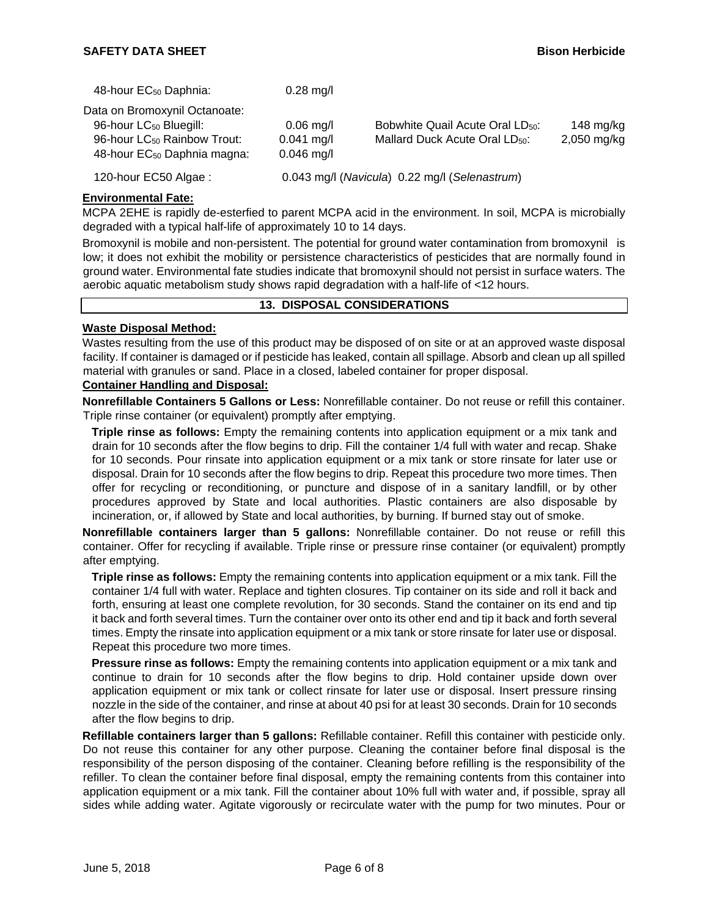| 48-hour EC <sub>50</sub> Daphnia:       | $0.28$ mg/l  |                                               |             |
|-----------------------------------------|--------------|-----------------------------------------------|-------------|
| Data on Bromoxynil Octanoate:           |              |                                               |             |
| 96-hour LC <sub>50</sub> Bluegill:      | $0.06$ mg/l  | Bobwhite Quail Acute Oral LD <sub>50</sub> :  | 148 mg/kg   |
| 96-hour LC <sub>50</sub> Rainbow Trout: | $0.041$ mg/l | Mallard Duck Acute Oral LD <sub>50</sub> :    | 2,050 mg/kg |
| 48-hour EC <sub>50</sub> Daphnia magna: | $0.046$ mg/l |                                               |             |
| 120-hour EC50 Algae:                    |              | 0.043 mg/l (Navicula) 0.22 mg/l (Selenastrum) |             |

## **Environmental Fate:**

MCPA 2EHE is rapidly de-esterfied to parent MCPA acid in the environment. In soil, MCPA is microbially degraded with a typical half-life of approximately 10 to 14 days.

Bromoxynil is mobile and non-persistent. The potential for ground water contamination from bromoxynil is low; it does not exhibit the mobility or persistence characteristics of pesticides that are normally found in ground water. Environmental fate studies indicate that bromoxynil should not persist in surface waters. The aerobic aquatic metabolism study shows rapid degradation with a half-life of <12 hours.

#### **13. DISPOSAL CONSIDERATIONS**

## **Waste Disposal Method:**

Wastes resulting from the use of this product may be disposed of on site or at an approved waste disposal facility. If container is damaged or if pesticide has leaked, contain all spillage. Absorb and clean up all spilled material with granules or sand. Place in a closed, labeled container for proper disposal.

## **Container Handling and Disposal:**

**Nonrefillable Containers 5 Gallons or Less:** Nonrefillable container. Do not reuse or refill this container. Triple rinse container (or equivalent) promptly after emptying.

**Triple rinse as follows:** Empty the remaining contents into application equipment or a mix tank and drain for 10 seconds after the flow begins to drip. Fill the container 1/4 full with water and recap. Shake for 10 seconds. Pour rinsate into application equipment or a mix tank or store rinsate for later use or disposal. Drain for 10 seconds after the flow begins to drip. Repeat this procedure two more times. Then offer for recycling or reconditioning, or puncture and dispose of in a sanitary landfill, or by other procedures approved by State and local authorities. Plastic containers are also disposable by incineration, or, if allowed by State and local authorities, by burning. If burned stay out of smoke.

**Nonrefillable containers larger than 5 gallons:** Nonrefillable container. Do not reuse or refill this container. Offer for recycling if available. Triple rinse or pressure rinse container (or equivalent) promptly after emptying.

**Triple rinse as follows:** Empty the remaining contents into application equipment or a mix tank. Fill the container 1/4 full with water. Replace and tighten closures. Tip container on its side and roll it back and forth, ensuring at least one complete revolution, for 30 seconds. Stand the container on its end and tip it back and forth several times. Turn the container over onto its other end and tip it back and forth several times. Empty the rinsate into application equipment or a mix tank or store rinsate for later use or disposal. Repeat this procedure two more times.

**Pressure rinse as follows:** Empty the remaining contents into application equipment or a mix tank and continue to drain for 10 seconds after the flow begins to drip. Hold container upside down over application equipment or mix tank or collect rinsate for later use or disposal. Insert pressure rinsing nozzle in the side of the container, and rinse at about 40 psi for at least 30 seconds. Drain for 10 seconds after the flow begins to drip.

**Refillable containers larger than 5 gallons:** Refillable container. Refill this container with pesticide only. Do not reuse this container for any other purpose. Cleaning the container before final disposal is the responsibility of the person disposing of the container. Cleaning before refilling is the responsibility of the refiller. To clean the container before final disposal, empty the remaining contents from this container into application equipment or a mix tank. Fill the container about 10% full with water and, if possible, spray all sides while adding water. Agitate vigorously or recirculate water with the pump for two minutes. Pour or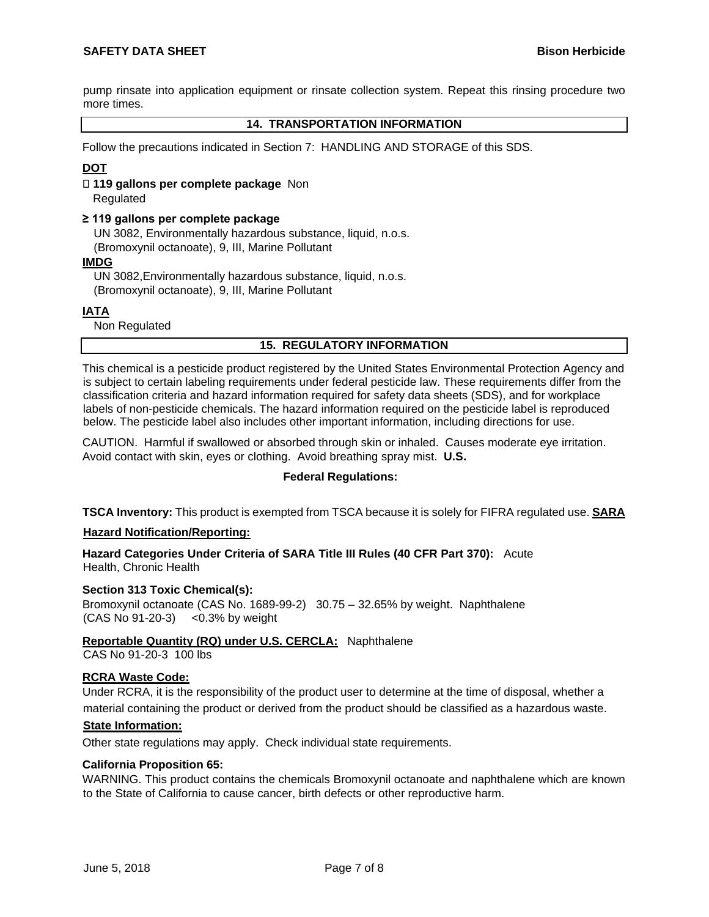pump rinsate into application equipment or rinsate collection system. Repeat this rinsing procedure two more times.

## **14. TRANSPORTATION INFORMATION**

Follow the precautions indicated in Section 7: HANDLING AND STORAGE of this SDS.

## **DOT**

 **119 gallons per complete package** Non Regulated

#### **≥ 119 gallons per complete package**

UN 3082, Environmentally hazardous substance, liquid, n.o.s. (Bromoxynil octanoate), 9, III, Marine Pollutant

#### **IMDG**

UN 3082,Environmentally hazardous substance, liquid, n.o.s. (Bromoxynil octanoate), 9, III, Marine Pollutant

## **IATA**

Non Regulated

## **15. REGULATORY INFORMATION**

This chemical is a pesticide product registered by the United States Environmental Protection Agency and is subject to certain labeling requirements under federal pesticide law. These requirements differ from the classification criteria and hazard information required for safety data sheets (SDS), and for workplace labels of non-pesticide chemicals. The hazard information required on the pesticide label is reproduced below. The pesticide label also includes other important information, including directions for use.

CAUTION. Harmful if swallowed or absorbed through skin or inhaled. Causes moderate eye irritation. Avoid contact with skin, eyes or clothing. Avoid breathing spray mist. **U.S.** 

#### **Federal Regulations:**

**TSCA Inventory:** This product is exempted from TSCA because it is solely for FIFRA regulated use. **SARA** 

#### **Hazard Notification/Reporting:**

**Hazard Categories Under Criteria of SARA Title III Rules (40 CFR Part 370):** Acute Health, Chronic Health

#### **Section 313 Toxic Chemical(s):**

Bromoxynil octanoate (CAS No. 1689-99-2) 30.75 – 32.65% by weight. Naphthalene (CAS No 91-20-3) <0.3% by weight

# **Reportable Quantity (RQ) under U.S. CERCLA:** Naphthalene

CAS No 91-20-3 100 lbs

#### **RCRA Waste Code:**

Under RCRA, it is the responsibility of the product user to determine at the time of disposal, whether a

material containing the product or derived from the product should be classified as a hazardous waste.

# **State Information:**

Other state regulations may apply. Check individual state requirements.

#### **California Proposition 65:**

WARNING. This product contains the chemicals Bromoxynil octanoate and naphthalene which are known to the State of California to cause cancer, birth defects or other reproductive harm.